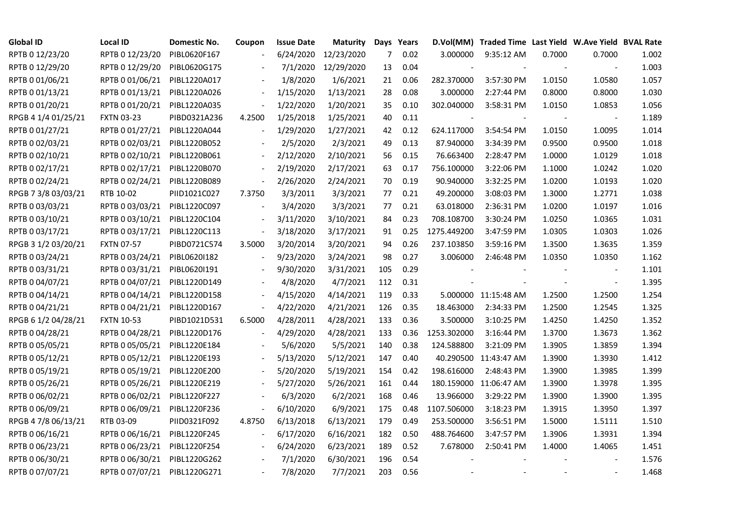| <b>Global ID</b>    | <b>Local ID</b>   | Domestic No. | Coupon                   | <b>Issue Date</b> | Maturity   |     | Days Years |             | D.Vol(MM) Traded Time Last Yield W.Ave Yield BVAL Rate |        |                          |       |
|---------------------|-------------------|--------------|--------------------------|-------------------|------------|-----|------------|-------------|--------------------------------------------------------|--------|--------------------------|-------|
| RPTB 0 12/23/20     | RPTB 0 12/23/20   | PIBL0620F167 |                          | 6/24/2020         | 12/23/2020 | 7   | 0.02       | 3.000000    | 9:35:12 AM                                             | 0.7000 | 0.7000                   | 1.002 |
| RPTB 0 12/29/20     | RPTB 0 12/29/20   | PIBL0620G175 |                          | 7/1/2020          | 12/29/2020 | 13  | 0.04       |             |                                                        |        | $\overline{\phantom{a}}$ | 1.003 |
| RPTB 0 01/06/21     | RPTB 0 01/06/21   | PIBL1220A017 |                          | 1/8/2020          | 1/6/2021   | 21  | 0.06       | 282.370000  | 3:57:30 PM                                             | 1.0150 | 1.0580                   | 1.057 |
| RPTB 0 01/13/21     | RPTB 0 01/13/21   | PIBL1220A026 | $\overline{\phantom{a}}$ | 1/15/2020         | 1/13/2021  | 28  | 0.08       | 3.000000    | 2:27:44 PM                                             | 0.8000 | 0.8000                   | 1.030 |
| RPTB 0 01/20/21     | RPTB 0 01/20/21   | PIBL1220A035 | $\Box$                   | 1/22/2020         | 1/20/2021  | 35  | 0.10       | 302.040000  | 3:58:31 PM                                             | 1.0150 | 1.0853                   | 1.056 |
| RPGB 4 1/4 01/25/21 | <b>FXTN 03-23</b> | PIBD0321A236 | 4.2500                   | 1/25/2018         | 1/25/2021  | 40  | 0.11       |             |                                                        |        |                          | 1.189 |
| RPTB 0 01/27/21     | RPTB 0 01/27/21   | PIBL1220A044 | $\overline{\phantom{a}}$ | 1/29/2020         | 1/27/2021  | 42  | 0.12       | 624.117000  | 3:54:54 PM                                             | 1.0150 | 1.0095                   | 1.014 |
| RPTB 0 02/03/21     | RPTB 0 02/03/21   | PIBL1220B052 |                          | 2/5/2020          | 2/3/2021   | 49  | 0.13       | 87.940000   | 3:34:39 PM                                             | 0.9500 | 0.9500                   | 1.018 |
| RPTB 0 02/10/21     | RPTB 0 02/10/21   | PIBL1220B061 |                          | 2/12/2020         | 2/10/2021  | 56  | 0.15       | 76.663400   | 2:28:47 PM                                             | 1.0000 | 1.0129                   | 1.018 |
| RPTB 0 02/17/21     | RPTB 0 02/17/21   | PIBL1220B070 | $\overline{\phantom{a}}$ | 2/19/2020         | 2/17/2021  | 63  | 0.17       | 756.100000  | 3:22:06 PM                                             | 1.1000 | 1.0242                   | 1.020 |
| RPTB 0 02/24/21     | RPTB 0 02/24/21   | PIBL1220B089 | $\blacksquare$           | 2/26/2020         | 2/24/2021  | 70  | 0.19       | 90.940000   | 3:32:25 PM                                             | 1.0200 | 1.0193                   | 1.020 |
| RPGB 7 3/8 03/03/21 | RTB 10-02         | PIID1021C027 | 7.3750                   | 3/3/2011          | 3/3/2021   | 77  | 0.21       | 49.200000   | 3:08:03 PM                                             | 1.3000 | 1.2771                   | 1.038 |
| RPTB 0 03/03/21     | RPTB 0 03/03/21   | PIBL1220C097 |                          | 3/4/2020          | 3/3/2021   | 77  | 0.21       | 63.018000   | 2:36:31 PM                                             | 1.0200 | 1.0197                   | 1.016 |
| RPTB 0 03/10/21     | RPTB 0 03/10/21   | PIBL1220C104 |                          | 3/11/2020         | 3/10/2021  | 84  | 0.23       | 708.108700  | 3:30:24 PM                                             | 1.0250 | 1.0365                   | 1.031 |
| RPTB 0 03/17/21     | RPTB 0 03/17/21   | PIBL1220C113 | $\overline{\phantom{a}}$ | 3/18/2020         | 3/17/2021  | 91  | 0.25       | 1275.449200 | 3:47:59 PM                                             | 1.0305 | 1.0303                   | 1.026 |
| RPGB 3 1/2 03/20/21 | <b>FXTN 07-57</b> | PIBD0721C574 | 3.5000                   | 3/20/2014         | 3/20/2021  | 94  | 0.26       | 237.103850  | 3:59:16 PM                                             | 1.3500 | 1.3635                   | 1.359 |
| RPTB 0 03/24/21     | RPTB 0 03/24/21   | PIBL0620I182 |                          | 9/23/2020         | 3/24/2021  | 98  | 0.27       | 3.006000    | 2:46:48 PM                                             | 1.0350 | 1.0350                   | 1.162 |
| RPTB 0 03/31/21     | RPTB 0 03/31/21   | PIBL0620I191 |                          | 9/30/2020         | 3/31/2021  | 105 | 0.29       |             |                                                        |        |                          | 1.101 |
| RPTB 0 04/07/21     | RPTB 0 04/07/21   | PIBL1220D149 |                          | 4/8/2020          | 4/7/2021   | 112 | 0.31       |             |                                                        |        | $\overline{\phantom{a}}$ | 1.395 |
| RPTB 0 04/14/21     | RPTB 0 04/14/21   | PIBL1220D158 |                          | 4/15/2020         | 4/14/2021  | 119 | 0.33       |             | 5.000000 11:15:48 AM                                   | 1.2500 | 1.2500                   | 1.254 |
| RPTB 0 04/21/21     | RPTB 0 04/21/21   | PIBL1220D167 | $\blacksquare$           | 4/22/2020         | 4/21/2021  | 126 | 0.35       | 18.463000   | 2:34:33 PM                                             | 1.2500 | 1.2545                   | 1.325 |
| RPGB 6 1/2 04/28/21 | <b>FXTN 10-53</b> | PIBD1021D531 | 6.5000                   | 4/28/2011         | 4/28/2021  | 133 | 0.36       | 3.500000    | 3:10:25 PM                                             | 1.4250 | 1.4250                   | 1.352 |
| RPTB 0 04/28/21     | RPTB 0 04/28/21   | PIBL1220D176 |                          | 4/29/2020         | 4/28/2021  | 133 | 0.36       | 1253.302000 | 3:16:44 PM                                             | 1.3700 | 1.3673                   | 1.362 |
| RPTB 0 05/05/21     | RPTB 0 05/05/21   | PIBL1220E184 |                          | 5/6/2020          | 5/5/2021   | 140 | 0.38       | 124.588800  | 3:21:09 PM                                             | 1.3905 | 1.3859                   | 1.394 |
| RPTB 0 05/12/21     | RPTB 0 05/12/21   | PIBL1220E193 |                          | 5/13/2020         | 5/12/2021  | 147 | 0.40       |             | 40.290500 11:43:47 AM                                  | 1.3900 | 1.3930                   | 1.412 |
| RPTB 0 05/19/21     | RPTB 0 05/19/21   | PIBL1220E200 |                          | 5/20/2020         | 5/19/2021  | 154 | 0.42       | 198.616000  | 2:48:43 PM                                             | 1.3900 | 1.3985                   | 1.399 |
| RPTB 0 05/26/21     | RPTB 0 05/26/21   | PIBL1220E219 |                          | 5/27/2020         | 5/26/2021  | 161 | 0.44       |             | 180.159000 11:06:47 AM                                 | 1.3900 | 1.3978                   | 1.395 |
| RPTB 0 06/02/21     | RPTB 0 06/02/21   | PIBL1220F227 |                          | 6/3/2020          | 6/2/2021   | 168 | 0.46       | 13.966000   | 3:29:22 PM                                             | 1.3900 | 1.3900                   | 1.395 |
| RPTB 0 06/09/21     | RPTB 0 06/09/21   | PIBL1220F236 |                          | 6/10/2020         | 6/9/2021   | 175 | 0.48       | 1107.506000 | 3:18:23 PM                                             | 1.3915 | 1.3950                   | 1.397 |
| RPGB 4 7/8 06/13/21 | RTB 03-09         | PIID0321F092 | 4.8750                   | 6/13/2018         | 6/13/2021  | 179 | 0.49       | 253.500000  | 3:56:51 PM                                             | 1.5000 | 1.5111                   | 1.510 |
| RPTB 0 06/16/21     | RPTB 0 06/16/21   | PIBL1220F245 |                          | 6/17/2020         | 6/16/2021  | 182 | 0.50       | 488.764600  | 3:47:57 PM                                             | 1.3906 | 1.3931                   | 1.394 |
| RPTB 0 06/23/21     | RPTB 0 06/23/21   | PIBL1220F254 |                          | 6/24/2020         | 6/23/2021  | 189 | 0.52       | 7.678000    | 2:50:41 PM                                             | 1.4000 | 1.4065                   | 1.451 |
| RPTB 0 06/30/21     | RPTB 0 06/30/21   | PIBL1220G262 |                          | 7/1/2020          | 6/30/2021  | 196 | 0.54       |             |                                                        |        |                          | 1.576 |
| RPTB 0 07/07/21     | RPTB 0 07/07/21   | PIBL1220G271 |                          | 7/8/2020          | 7/7/2021   | 203 | 0.56       |             |                                                        |        |                          | 1.468 |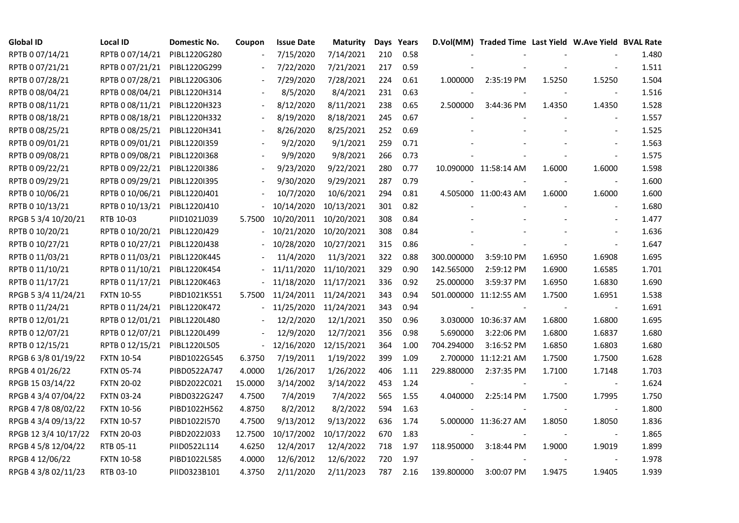| <b>Global ID</b>     | <b>Local ID</b>   | Domestic No. | Coupon                   | <b>Issue Date</b>     | Maturity   |     | Days Years |            | D.Vol(MM) Traded Time Last Yield W.Ave Yield BVAL Rate |        |                          |       |
|----------------------|-------------------|--------------|--------------------------|-----------------------|------------|-----|------------|------------|--------------------------------------------------------|--------|--------------------------|-------|
| RPTB 0 07/14/21      | RPTB 0 07/14/21   | PIBL1220G280 |                          | 7/15/2020             | 7/14/2021  | 210 | 0.58       |            |                                                        |        |                          | 1.480 |
| RPTB 0 07/21/21      | RPTB 0 07/21/21   | PIBL1220G299 |                          | 7/22/2020             | 7/21/2021  | 217 | 0.59       |            |                                                        |        |                          | 1.511 |
| RPTB 0 07/28/21      | RPTB 0 07/28/21   | PIBL1220G306 |                          | 7/29/2020             | 7/28/2021  | 224 | 0.61       | 1.000000   | 2:35:19 PM                                             | 1.5250 | 1.5250                   | 1.504 |
| RPTB 0 08/04/21      | RPTB 0 08/04/21   | PIBL1220H314 | $\frac{1}{2}$            | 8/5/2020              | 8/4/2021   | 231 | 0.63       |            |                                                        |        | $\blacksquare$           | 1.516 |
| RPTB 0 08/11/21      | RPTB 0 08/11/21   | PIBL1220H323 |                          | 8/12/2020             | 8/11/2021  | 238 | 0.65       | 2.500000   | 3:44:36 PM                                             | 1.4350 | 1.4350                   | 1.528 |
| RPTB 0 08/18/21      | RPTB 0 08/18/21   | PIBL1220H332 |                          | 8/19/2020             | 8/18/2021  | 245 | 0.67       |            |                                                        |        | $\blacksquare$           | 1.557 |
| RPTB 0 08/25/21      | RPTB 0 08/25/21   | PIBL1220H341 |                          | 8/26/2020             | 8/25/2021  | 252 | 0.69       |            |                                                        |        | $\overline{\phantom{a}}$ | 1.525 |
| RPTB 0 09/01/21      | RPTB 0 09/01/21   | PIBL1220I359 |                          | 9/2/2020              | 9/1/2021   | 259 | 0.71       |            |                                                        |        |                          | 1.563 |
| RPTB 0 09/08/21      | RPTB 0 09/08/21   | PIBL1220I368 |                          | 9/9/2020              | 9/8/2021   | 266 | 0.73       |            |                                                        |        |                          | 1.575 |
| RPTB 0 09/22/21      | RPTB 0 09/22/21   | PIBL1220I386 | $\overline{\phantom{a}}$ | 9/23/2020             | 9/22/2021  | 280 | 0.77       |            | 10.090000 11:58:14 AM                                  | 1.6000 | 1.6000                   | 1.598 |
| RPTB 0 09/29/21      | RPTB 0 09/29/21   | PIBL1220I395 | $\blacksquare$           | 9/30/2020             | 9/29/2021  | 287 | 0.79       |            |                                                        |        | $\overline{\phantom{a}}$ | 1.600 |
| RPTB 0 10/06/21      | RPTB 0 10/06/21   | PIBL1220J401 |                          | 10/7/2020             | 10/6/2021  | 294 | 0.81       |            | 4.505000 11:00:43 AM                                   | 1.6000 | 1.6000                   | 1.600 |
| RPTB 0 10/13/21      | RPTB 0 10/13/21   | PIBL1220J410 |                          | 10/14/2020            | 10/13/2021 | 301 | 0.82       |            |                                                        |        | $\blacksquare$           | 1.680 |
| RPGB 5 3/4 10/20/21  | RTB 10-03         | PIID1021J039 | 5.7500                   | 10/20/2011            | 10/20/2021 | 308 | 0.84       |            |                                                        |        | $\blacksquare$           | 1.477 |
| RPTB 0 10/20/21      | RPTB 0 10/20/21   | PIBL1220J429 |                          | 10/21/2020            | 10/20/2021 | 308 | 0.84       |            |                                                        |        | $\blacksquare$           | 1.636 |
| RPTB 0 10/27/21      | RPTB 0 10/27/21   | PIBL1220J438 |                          | 10/28/2020            | 10/27/2021 | 315 | 0.86       |            |                                                        |        |                          | 1.647 |
| RPTB 0 11/03/21      | RPTB 0 11/03/21   | PIBL1220K445 |                          | 11/4/2020             | 11/3/2021  | 322 | 0.88       | 300.000000 | 3:59:10 PM                                             | 1.6950 | 1.6908                   | 1.695 |
| RPTB 0 11/10/21      | RPTB 0 11/10/21   | PIBL1220K454 |                          | 11/11/2020            | 11/10/2021 | 329 | 0.90       | 142.565000 | 2:59:12 PM                                             | 1.6900 | 1.6585                   | 1.701 |
| RPTB 0 11/17/21      | RPTB 0 11/17/21   | PIBL1220K463 | $\frac{1}{2}$            | 11/18/2020            | 11/17/2021 | 336 | 0.92       | 25.000000  | 3:59:37 PM                                             | 1.6950 | 1.6830                   | 1.690 |
| RPGB 5 3/4 11/24/21  | <b>FXTN 10-55</b> | PIBD1021K551 | 5.7500                   | 11/24/2011 11/24/2021 |            | 343 | 0.94       |            | 501.000000 11:12:55 AM                                 | 1.7500 | 1.6951                   | 1.538 |
| RPTB 0 11/24/21      | RPTB 0 11/24/21   | PIBL1220K472 | $\frac{1}{2}$            | 11/25/2020            | 11/24/2021 | 343 | 0.94       | $\sim$     |                                                        |        | $\overline{\phantom{a}}$ | 1.691 |
| RPTB 0 12/01/21      | RPTB 0 12/01/21   | PIBL1220L480 |                          | 12/2/2020             | 12/1/2021  | 350 | 0.96       |            | 3.030000 10:36:37 AM                                   | 1.6800 | 1.6800                   | 1.695 |
| RPTB 0 12/07/21      | RPTB 0 12/07/21   | PIBL1220L499 |                          | 12/9/2020             | 12/7/2021  | 356 | 0.98       | 5.690000   | 3:22:06 PM                                             | 1.6800 | 1.6837                   | 1.680 |
| RPTB 0 12/15/21      | RPTB 0 12/15/21   | PIBL1220L505 | $\overline{\phantom{a}}$ | 12/16/2020            | 12/15/2021 | 364 | 1.00       | 704.294000 | 3:16:52 PM                                             | 1.6850 | 1.6803                   | 1.680 |
| RPGB 63/8 01/19/22   | <b>FXTN 10-54</b> | PIBD1022G545 | 6.3750                   | 7/19/2011             | 1/19/2022  | 399 | 1.09       |            | 2.700000 11:12:21 AM                                   | 1.7500 | 1.7500                   | 1.628 |
| RPGB 4 01/26/22      | <b>FXTN 05-74</b> | PIBD0522A747 | 4.0000                   | 1/26/2017             | 1/26/2022  | 406 | 1.11       | 229.880000 | 2:37:35 PM                                             | 1.7100 | 1.7148                   | 1.703 |
| RPGB 15 03/14/22     | <b>FXTN 20-02</b> | PIBD2022C021 | 15.0000                  | 3/14/2002             | 3/14/2022  | 453 | 1.24       |            |                                                        |        | $\sim$                   | 1.624 |
| RPGB 4 3/4 07/04/22  | <b>FXTN 03-24</b> | PIBD0322G247 | 4.7500                   | 7/4/2019              | 7/4/2022   | 565 | 1.55       | 4.040000   | 2:25:14 PM                                             | 1.7500 | 1.7995                   | 1.750 |
| RPGB 4 7/8 08/02/22  | <b>FXTN 10-56</b> | PIBD1022H562 | 4.8750                   | 8/2/2012              | 8/2/2022   | 594 | 1.63       |            |                                                        |        | $\overline{\phantom{a}}$ | 1.800 |
| RPGB 4 3/4 09/13/22  | <b>FXTN 10-57</b> | PIBD1022I570 | 4.7500                   | 9/13/2012             | 9/13/2022  | 636 | 1.74       |            | 5.000000 11:36:27 AM                                   | 1.8050 | 1.8050                   | 1.836 |
| RPGB 12 3/4 10/17/22 | <b>FXTN 20-03</b> | PIBD2022J033 | 12.7500                  | 10/17/2002            | 10/17/2022 | 670 | 1.83       |            |                                                        |        | $\sim$                   | 1.865 |
| RPGB 4 5/8 12/04/22  | RTB 05-11         | PIID0522L114 | 4.6250                   | 12/4/2017             | 12/4/2022  | 718 | 1.97       | 118.950000 | 3:18:44 PM                                             | 1.9000 | 1.9019                   | 1.899 |
| RPGB 4 12/06/22      | <b>FXTN 10-58</b> | PIBD1022L585 | 4.0000                   | 12/6/2012             | 12/6/2022  | 720 | 1.97       |            |                                                        |        |                          | 1.978 |
| RPGB 4 3/8 02/11/23  | RTB 03-10         | PIID0323B101 | 4.3750                   | 2/11/2020             | 2/11/2023  | 787 | 2.16       | 139.800000 | 3:00:07 PM                                             | 1.9475 | 1.9405                   | 1.939 |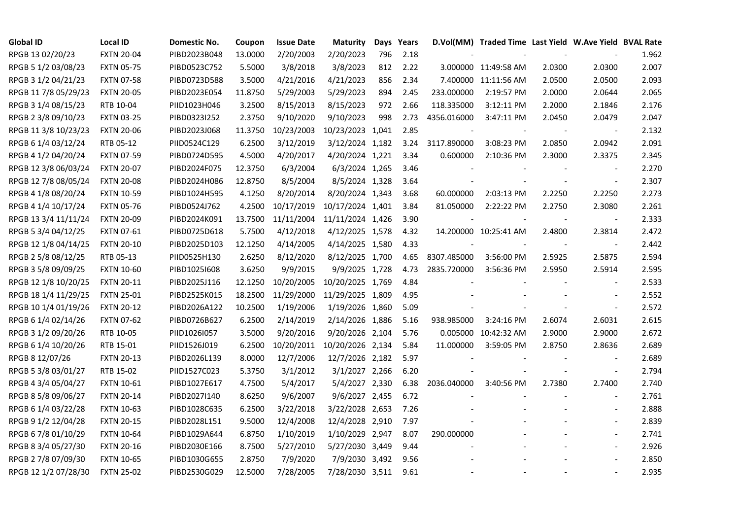| <b>Global ID</b>     | <b>Local ID</b>   | Domestic No. | Coupon  | <b>Issue Date</b> | <b>Maturity</b>  |     | Days Years |                | D.Vol(MM) Traded Time Last Yield W.Ave Yield BVAL Rate |        |                          |       |
|----------------------|-------------------|--------------|---------|-------------------|------------------|-----|------------|----------------|--------------------------------------------------------|--------|--------------------------|-------|
| RPGB 13 02/20/23     | <b>FXTN 20-04</b> | PIBD2023B048 | 13.0000 | 2/20/2003         | 2/20/2023        | 796 | 2.18       |                |                                                        |        |                          | 1.962 |
| RPGB 5 1/2 03/08/23  | <b>FXTN 05-75</b> | PIBD0523C752 | 5.5000  | 3/8/2018          | 3/8/2023         | 812 | 2.22       |                | 3.000000 11:49:58 AM                                   | 2.0300 | 2.0300                   | 2.007 |
| RPGB 3 1/2 04/21/23  | <b>FXTN 07-58</b> | PIBD0723D588 | 3.5000  | 4/21/2016         | 4/21/2023        | 856 | 2.34       |                | 7.400000 11:11:56 AM                                   | 2.0500 | 2.0500                   | 2.093 |
| RPGB 11 7/8 05/29/23 | <b>FXTN 20-05</b> | PIBD2023E054 | 11.8750 | 5/29/2003         | 5/29/2023        | 894 | 2.45       | 233.000000     | 2:19:57 PM                                             | 2.0000 | 2.0644                   | 2.065 |
| RPGB 3 1/4 08/15/23  | RTB 10-04         | PIID1023H046 | 3.2500  | 8/15/2013         | 8/15/2023        | 972 | 2.66       | 118.335000     | 3:12:11 PM                                             | 2.2000 | 2.1846                   | 2.176 |
| RPGB 2 3/8 09/10/23  | <b>FXTN 03-25</b> | PIBD0323I252 | 2.3750  | 9/10/2020         | 9/10/2023        | 998 | 2.73       | 4356.016000    | 3:47:11 PM                                             | 2.0450 | 2.0479                   | 2.047 |
| RPGB 11 3/8 10/23/23 | <b>FXTN 20-06</b> | PIBD2023J068 | 11.3750 | 10/23/2003        | 10/23/2023 1,041 |     | 2.85       | $\blacksquare$ |                                                        |        | $\overline{\phantom{a}}$ | 2.132 |
| RPGB 6 1/4 03/12/24  | RTB 05-12         | PIID0524C129 | 6.2500  | 3/12/2019         | 3/12/2024 1,182  |     | 3.24       | 3117.890000    | 3:08:23 PM                                             | 2.0850 | 2.0942                   | 2.091 |
| RPGB 4 1/2 04/20/24  | <b>FXTN 07-59</b> | PIBD0724D595 | 4.5000  | 4/20/2017         | 4/20/2024 1,221  |     | 3.34       | 0.600000       | 2:10:36 PM                                             | 2.3000 | 2.3375                   | 2.345 |
| RPGB 12 3/8 06/03/24 | <b>FXTN 20-07</b> | PIBD2024F075 | 12.3750 | 6/3/2004          | 6/3/2024 1,265   |     | 3.46       |                |                                                        |        |                          | 2.270 |
| RPGB 12 7/8 08/05/24 | <b>FXTN 20-08</b> | PIBD2024H086 | 12.8750 | 8/5/2004          | 8/5/2024 1,328   |     | 3.64       |                |                                                        |        | $\blacksquare$           | 2.307 |
| RPGB 4 1/8 08/20/24  | <b>FXTN 10-59</b> | PIBD1024H595 | 4.1250  | 8/20/2014         | 8/20/2024 1,343  |     | 3.68       | 60.000000      | 2:03:13 PM                                             | 2.2250 | 2.2250                   | 2.273 |
| RPGB 4 1/4 10/17/24  | <b>FXTN 05-76</b> | PIBD0524J762 | 4.2500  | 10/17/2019        | 10/17/2024 1,401 |     | 3.84       | 81.050000      | 2:22:22 PM                                             | 2.2750 | 2.3080                   | 2.261 |
| RPGB 13 3/4 11/11/24 | <b>FXTN 20-09</b> | PIBD2024K091 | 13.7500 | 11/11/2004        | 11/11/2024 1,426 |     | 3.90       | $\blacksquare$ |                                                        |        | $\blacksquare$           | 2.333 |
| RPGB 5 3/4 04/12/25  | <b>FXTN 07-61</b> | PIBD0725D618 | 5.7500  | 4/12/2018         | 4/12/2025 1,578  |     | 4.32       |                | 14.200000 10:25:41 AM                                  | 2.4800 | 2.3814                   | 2.472 |
| RPGB 12 1/8 04/14/25 | <b>FXTN 20-10</b> | PIBD2025D103 | 12.1250 | 4/14/2005         | 4/14/2025 1,580  |     | 4.33       |                |                                                        |        |                          | 2.442 |
| RPGB 2 5/8 08/12/25  | RTB 05-13         | PIID0525H130 | 2.6250  | 8/12/2020         | 8/12/2025 1,700  |     | 4.65       | 8307.485000    | 3:56:00 PM                                             | 2.5925 | 2.5875                   | 2.594 |
| RPGB 3 5/8 09/09/25  | <b>FXTN 10-60</b> | PIBD10251608 | 3.6250  | 9/9/2015          | 9/9/2025 1,728   |     | 4.73       | 2835.720000    | 3:56:36 PM                                             | 2.5950 | 2.5914                   | 2.595 |
| RPGB 12 1/8 10/20/25 | <b>FXTN 20-11</b> | PIBD2025J116 | 12.1250 | 10/20/2005        | 10/20/2025 1,769 |     | 4.84       |                |                                                        |        | $\blacksquare$           | 2.533 |
| RPGB 18 1/4 11/29/25 | <b>FXTN 25-01</b> | PIBD2525K015 | 18.2500 | 11/29/2000        | 11/29/2025 1,809 |     | 4.95       |                |                                                        |        | $\overline{\phantom{a}}$ | 2.552 |
| RPGB 10 1/4 01/19/26 | <b>FXTN 20-12</b> | PIBD2026A122 | 10.2500 | 1/19/2006         | 1/19/2026 1,860  |     | 5.09       |                |                                                        |        | $\blacksquare$           | 2.572 |
| RPGB 6 1/4 02/14/26  | <b>FXTN 07-62</b> | PIBD0726B627 | 6.2500  | 2/14/2019         | 2/14/2026 1,886  |     | 5.16       | 938.985000     | 3:24:16 PM                                             | 2.6074 | 2.6031                   | 2.615 |
| RPGB 3 1/2 09/20/26  | RTB 10-05         | PIID1026I057 | 3.5000  | 9/20/2016         | 9/20/2026 2,104  |     | 5.76       |                | 0.005000 10:42:32 AM                                   | 2.9000 | 2.9000                   | 2.672 |
| RPGB 6 1/4 10/20/26  | RTB 15-01         | PIID1526J019 | 6.2500  | 10/20/2011        | 10/20/2026 2,134 |     | 5.84       | 11.000000      | 3:59:05 PM                                             | 2.8750 | 2.8636                   | 2.689 |
| RPGB 8 12/07/26      | <b>FXTN 20-13</b> | PIBD2026L139 | 8.0000  | 12/7/2006         | 12/7/2026 2,182  |     | 5.97       |                |                                                        |        | $\overline{\phantom{a}}$ | 2.689 |
| RPGB 5 3/8 03/01/27  | RTB 15-02         | PIID1527C023 | 5.3750  | 3/1/2012          | 3/1/2027 2,266   |     | 6.20       |                |                                                        |        | $\blacksquare$           | 2.794 |
| RPGB 4 3/4 05/04/27  | <b>FXTN 10-61</b> | PIBD1027E617 | 4.7500  | 5/4/2017          | 5/4/2027 2,330   |     | 6.38       | 2036.040000    | 3:40:56 PM                                             | 2.7380 | 2.7400                   | 2.740 |
| RPGB 8 5/8 09/06/27  | <b>FXTN 20-14</b> | PIBD2027I140 | 8.6250  | 9/6/2007          | 9/6/2027 2,455   |     | 6.72       |                |                                                        |        | $\overline{\phantom{a}}$ | 2.761 |
| RPGB 6 1/4 03/22/28  | <b>FXTN 10-63</b> | PIBD1028C635 | 6.2500  | 3/22/2018         | 3/22/2028 2,653  |     | 7.26       |                |                                                        |        |                          | 2.888 |
| RPGB 9 1/2 12/04/28  | <b>FXTN 20-15</b> | PIBD2028L151 | 9.5000  | 12/4/2008         | 12/4/2028 2,910  |     | 7.97       |                |                                                        |        |                          | 2.839 |
| RPGB 67/8 01/10/29   | <b>FXTN 10-64</b> | PIBD1029A644 | 6.8750  | 1/10/2019         | 1/10/2029 2,947  |     | 8.07       | 290.000000     |                                                        |        | $\blacksquare$           | 2.741 |
| RPGB 8 3/4 05/27/30  | <b>FXTN 20-16</b> | PIBD2030E166 | 8.7500  | 5/27/2010         | 5/27/2030 3,449  |     | 9.44       |                |                                                        |        | $\overline{\phantom{a}}$ | 2.926 |
| RPGB 2 7/8 07/09/30  | <b>FXTN 10-65</b> | PIBD1030G655 | 2.8750  | 7/9/2020          | 7/9/2030 3,492   |     | 9.56       |                |                                                        |        |                          | 2.850 |
| RPGB 12 1/2 07/28/30 | <b>FXTN 25-02</b> | PIBD2530G029 | 12.5000 | 7/28/2005         | 7/28/2030 3,511  |     | 9.61       |                |                                                        |        | $\blacksquare$           | 2.935 |